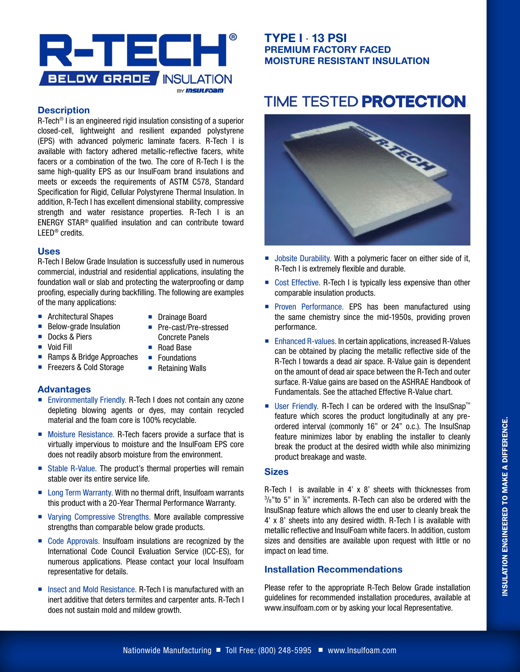

### **Description**

R-Tech® I is an engineered rigid insulation consisting of a superior closed-cell, lightweight and resilient expanded polystyrene (EPS) with advanced polymeric laminate facers. R-Tech I is available with factory adhered metallic-reflective facers, white facers or a combination of the two. The core of R-Tech I is the same high-quality EPS as our InsulFoam brand insulations and meets or exceeds the requirements of ASTM C578, Standard Specification for Rigid, Cellular Polystyrene Thermal Insulation. In addition, R-Tech I has excellent dimensional stability, compressive strength and water resistance properties. R-Tech I is an ENERGY STAR® qualified insulation and can contribute toward LEED® credits.

#### **Uses**

R-Tech I Below Grade Insulation is successfully used in numerous commercial, industrial and residential applications, insulating the foundation wall or slab and protecting the waterproofing or damp proofing, especially during backfilling. The following are examples of the many applications:

- **Architectural Shapes**
- **Drainage Board**

■ Pre-cast/Pre-stressed

- **Below-grade Insulation**
- Concrete Panels ■ Road Base

■ Foundations ■ Retaining Walls

**Void Fill** 

Docks & Piers

- Ramps & Bridge Approaches
- Freezers & Cold Storage

### **Advantages**

- Environmentally Friendly. R-Tech I does not contain any ozone depleting blowing agents or dyes, may contain recycled material and the foam core is 100% recyclable.
- Moisture Resistance. R-Tech facers provide a surface that is virtually impervious to moisture and the InsulFoam EPS core does not readily absorb moisture from the environment.
- Stable R-Value. The product's thermal properties will remain stable over its entire service life.
- Long Term Warranty. With no thermal drift, Insulfoam warrants this product with a 20-Year Thermal Performance Warranty.
- Varying Compressive Strengths. More available compressive strengths than comparable below grade products.
- Code Approvals. Insulfoam insulations are recognized by the International Code Council Evaluation Service (ICC-ES), for numerous applications. Please contact your local Insulfoam representative for details.
- Insect and Mold Resistance. R-Tech I is manufactured with an inert additive that deters termites and carpenter ants. R-Tech I does not sustain mold and mildew growth.

## **TYPE I** · **13 PSI PREMIUM FACTORY FACED MOISTURE RESISTANT INSULATION**

# TIME TESTED **PROTECTION**



- Jobsite Durability. With a polymeric facer on either side of it, R-Tech I is extremely flexible and durable.
- Cost Effective. R-Tech I is typically less expensive than other comparable insulation products.
- **Proven Performance. EPS has been manufactured using** the same chemistry since the mid-1950s, providing proven performance.
- Enhanced R-values. In certain applications, increased R-Values can be obtained by placing the metallic reflective side of the R-Tech I towards a dead air space. R-Value gain is dependent on the amount of dead air space between the R-Tech and outer surface. R-Value gains are based on the ASHRAE Handbook of Fundamentals. See the attached Effective R-Value chart.
- User Friendly. R-Tech I can be ordered with the InsulSnap™ feature which scores the product longitudinally at any preordered interval (commonly 16" or 24" o.c.). The InsulSnap feature minimizes labor by enabling the installer to cleanly break the product at the desired width while also minimizing product breakage and waste.

### **Sizes**

R-Tech I is available in 4' x 8' sheets with thicknesses from  $3/8$ "to 5" in  $1/8$ " increments. R-Tech can also be ordered with the InsulSnap feature which allows the end user to cleanly break the 4' x 8' sheets into any desired width. R-Tech I is available with metallic reflective and InsulFoam white facers. In addition, custom sizes and densities are available upon request with little or no impact on lead time.

## **Installation Recommendations**

Please refer to the appropriate R-Tech Below Grade installation guidelines for recommended installation procedures, available at www.insulfoam.com or by asking your local Representative.